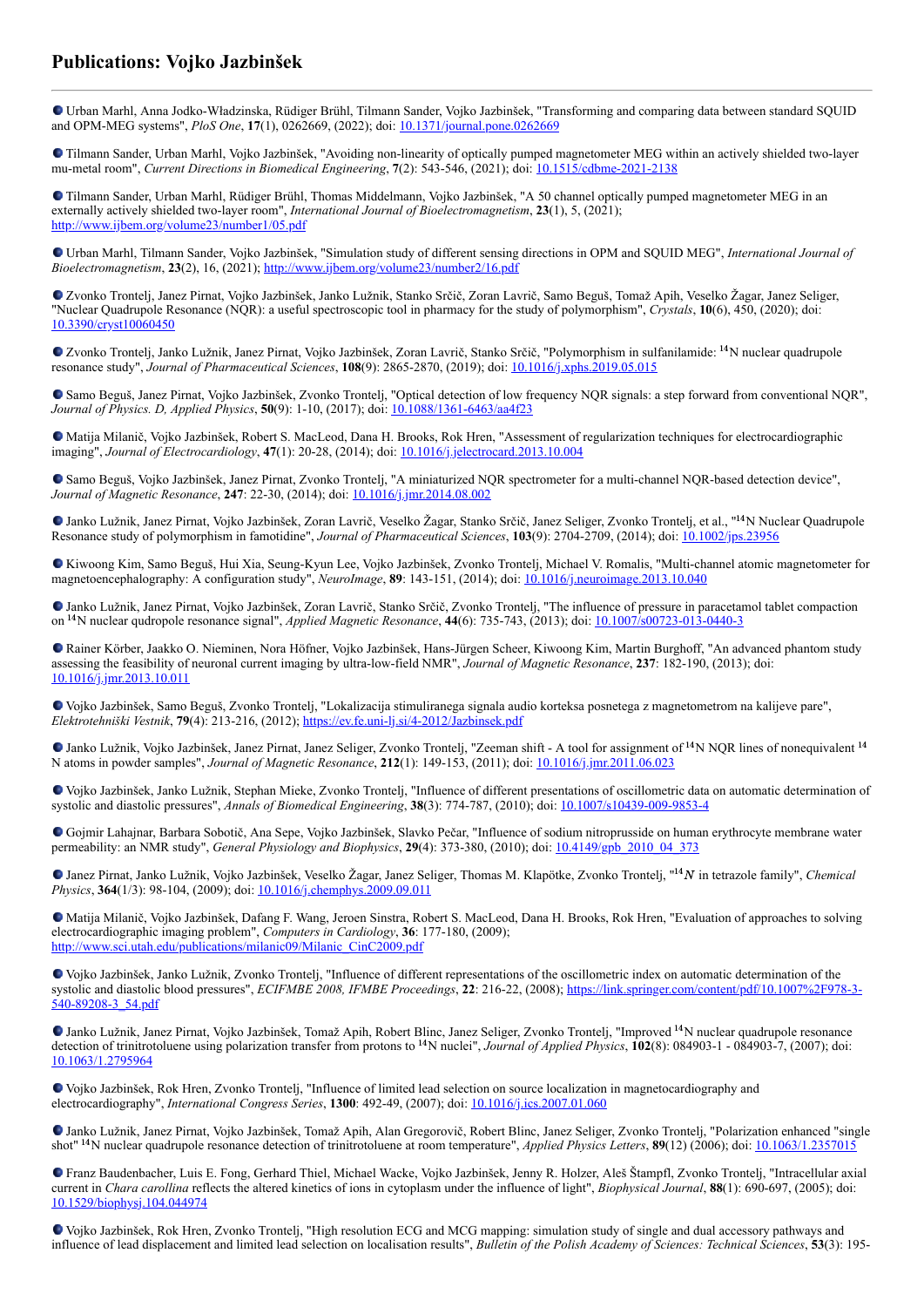## **Publications: Vojko Jazbinšek**

Urban Marhl, Anna Jodko-Władzinska, Rüdiger Brühl, Tilmann Sander, Vojko Jazbinšek, "Transforming and comparing data between standard SQUID and OPM-MEG systems", *PloS One*, **17**(1), 0262669, (2022); doi: [10.1371/journal.pone.0262669](https://dx.doi.org/10.1371/journal.pone.0262669)

Tilmann Sander, Urban Marhl, Vojko Jazbinšek, "Avoiding non-linearity of optically pumped magnetometer MEG within an actively shielded two-layer mu-metal room", *Current Directions in Biomedical Engineering*, **7**(2): 543-546, (2021); doi: [10.1515/cdbme-2021-2138](https://dx.doi.org/10.1515/cdbme-2021-2138)

Tilmann Sander, Urban Marhl, Rüdiger Brühl, Thomas Middelmann, Vojko Jazbinšek, "A 50 channel optically pumped magnetometer MEG in an externally actively shielded two-layer room", *International Journal of Bioelectromagnetism*, **23**(1), 5, (2021); <http://www.ijbem.org/volume23/number1/05.pdf>

Urban Marhl, Tilmann Sander, Vojko Jazbinšek, "Simulation study of different sensing directions in OPM and SQUID MEG", *International Journal of Bioelectromagnetism*, **23**(2), 16, (2021);<http://www.ijbem.org/volume23/number2/16.pdf>

Zvonko Trontelj, Janez Pirnat, Vojko Jazbinšek, Janko Lužnik, Stanko Srčič, Zoran Lavrič, Samo Beguš, Tomaž Apih, Veselko Žagar, Janez Seliger, "Nuclear Quadrupole Resonance (NQR): a useful spectroscopic tool in pharmacy for the study of polymorphism", *Crystals*, **10**(6), 450, (2020); doi: [10.3390/cryst10060450](https://dx.doi.org/10.3390/cryst10060450)

Zvonko Trontelj, Janko Lužnik, Janez Pirnat, Vojko Jazbinšek, Zoran Lavrič, Stanko Srčič, "Polymorphism in sulfanilamide: <sup>14</sup>N nuclear quadrupole resonance study", *Journal of Pharmaceutical Sciences*, **108**(9): 2865-2870, (2019); doi: [10.1016/j.xphs.2019.05.015](https://dx.doi.org/10.1016/j.xphs.2019.05.015)

Samo Beguš, Janez Pirnat, Vojko Jazbinšek, Zvonko Trontelj, "Optical detection of low frequency NQR signals: a step forward from conventional NQR", *Journal of Physics. D, Applied Physics*, **50**(9): 1-10, (2017); doi: [10.1088/1361-6463/aa4f23](https://dx.doi.org/10.1088/1361-6463/aa4f23)

Matija Milanič, Vojko Jazbinšek, Robert S. MacLeod, Dana H. Brooks, Rok Hren, "Assessment of regularization techniques for electrocardiographic imaging", *Journal of Electrocardiology*, **47**(1): 20-28, (2014); doi: [10.1016/j.jelectrocard.2013.10.004](http://dx.doi.org/10.1016/j.jelectrocard.2013.10.004)

Samo Beguš, Vojko Jazbinšek, Janez Pirnat, Zvonko Trontelj, "A miniaturized NQR spectrometer for a multi-channel NQR-based detection device", *Journal of Magnetic Resonance*, **247**: 22-30, (2014); doi: [10.1016/j.jmr.2014.08.002](https://dx.doi.org/10.1016/j.jmr.2014.08.002)

Janko Lužnik, Janez Pirnat, Vojko Jazbinšek, Zoran Lavrič, Veselko Žagar, Stanko Srčič, Janez Seliger, Zvonko Trontelj, et al., "<sup>14</sup>N Nuclear Quadrupole Resonance study of polymorphism in famotidine", *Journal of Pharmaceutical Sciences*, **103**(9): 2704-2709, (2014); doi: [10.1002/jps.23956](http://dx.doi.org/10.1002/jps.23956)

Kiwoong Kim, Samo Beguš, Hui Xia, Seung-Kyun Lee, Vojko Jazbinšek, Zvonko Trontelj, Michael V. Romalis, "Multi-channel atomic magnetometer for magnetoencephalography: A configuration study", *NeuroImage*, **89**: 143-151, (2014); doi: [10.1016/j.neuroimage.2013.10.040](http://dx.doi.org/10.1016/j.neuroimage.2013.10.040)

Janko Lužnik, Janez Pirnat, Vojko Jazbinšek, Zoran Lavrič, Stanko Srčič, Zvonko Trontelj, "The influence of pressure in paracetamol tablet compaction on <sup>14</sup>N nuclear qudropole resonance signal", *Applied Magnetic Resonance*, **44**(6): 735-743, (2013); doi: <u>[10.1007/s00723-013-0440-3](https://dx.doi.org/10.1007/s00723-013-0440-3)</u>

Rainer Körber, Jaakko O. Nieminen, Nora Höfner, Vojko Jazbinšek, Hans-Jürgen Scheer, Kiwoong Kim, Martin Burghoff, "An advanced phantom study assessing the feasibility of neuronal current imaging by ultra-low-field NMR", *Journal of Magnetic Resonance*, **237**: 182-190, (2013); doi: [10.1016/j.jmr.2013.10.011](http://dx.doi.org/10.1016/j.jmr.2013.10.011)

Vojko Jazbinšek, Samo Beguš, Zvonko Trontelj, "Lokalizacija stimuliranega signala audio korteksa posnetega z magnetometrom na kalijeve pare", *Elektrotehniški Vestnik*, **79**(4): 213-216, (2012);<https://ev.fe.uni-lj.si/4-2012/Jazbinsek.pdf>

Janko Lužnik, Vojko Jazbinšek, Janez Pirnat, Janez Seliger, Zvonko Trontelj, "Zeeman shift - A tool for assignment of <sup>14</sup>N NQR lines of nonequivalent <sup>14</sup> N atoms in powder samples", *Journal of Magnetic Resonance*, **212**(1): 149-153, (2011); doi: [10.1016/j.jmr.2011.06.023](http://dx.doi.org/10.1016/j.jmr.2011.06.023)

Vojko Jazbinšek, Janko Lužnik, Stephan Mieke, Zvonko Trontelj, "Influence of different presentations of oscillometric data on automatic determination of systolic and diastolic pressures", *Annals of Biomedical Engineering*, **38**(3): 774-787, (2010); doi: [10.1007/s10439-009-9853-4](http://dx.doi.org/10.1007/s10439-009-9853-4)

Gojmir Lahajnar, Barbara Sobotič, Ana Sepe, Vojko Jazbinšek, Slavko Pečar, "Influence of sodium nitroprusside on human erythrocyte membrane water permeability: an NMR study", *General Physiology and Biophysics*, **29**(4): 373-380, (2010); doi: [10.4149/gpb\\_2010\\_04\\_373](https://dx.doi.org/10.4149/gpb_2010_04_373)

Janez Pirnat, Janko Lužnik, Vojko Jazbinšek, Veselko Žagar, Janez Seliger, Thomas M. Klapötke, Zvonko Trontelj, "<sup>14</sup>N in tetrazole family", Chemical *Physics*, **364**(1/3): 98-104, (2009); doi: [10.1016/j.chemphys.2009.09.011](https://dx.doi.org/10.1016/j.chemphys.2009.09.011)

Matija Milanič, Vojko Jazbinšek, Dafang F. Wang, Jeroen Sinstra, Robert S. MacLeod, Dana H. Brooks, Rok Hren, "Evaluation of approaches to solving electrocardiographic imaging problem", *Computers in Cardiology*, **36**: 177-180, (2009); [http://www.sci.utah.edu/publications/milanic09/Milanic\\_CinC2009.pdf](http://www.sci.utah.edu/publications/milanic09/Milanic_CinC2009.pdf)

Vojko Jazbinšek, Janko Lužnik, Zvonko Trontelj, "Influence of different representations of the oscillometric index on automatic determination of the systolic and diastolic blood pressures", *ECIFMBE 2008, IFMBE Proceedings*, **22**[: 216-22, \(2008\); https://link.springer.com/content/pdf/10.1007%2F978-3-](https://link.springer.com/content/pdf/10.1007%2F978-3-540-89208-3_54.pdf) 540-89208-3\_54.pdf

Janko Lužnik, Janez Pirnat, Vojko Jazbinšek, Tomaž Apih, Robert Blinc, Janez Seliger, Zvonko Trontelj, "Improved <sup>14</sup>N nuclear quadrupole resonance detection of trinitrotoluene using polarization transfer from protons to <sup>14</sup>N nuclei", *Journal of Applied Physics*, **102**(8): 084903-1 - 084903-7, (2007); doi: [10.1063/1.2795964](https://dx.doi.org/10.1063/1.2795964)

Vojko Jazbinšek, Rok Hren, Zvonko Trontelj, "Influence of limited lead selection on source localization in magnetocardiography and electrocardiography", *International Congress Series*, **1300**: 492-49, (2007); doi: [10.1016/j.ics.2007.01.060](https://doi.org/10.1016/j.ics.2007.01.060)

Janko Lužnik, Janez Pirnat, Vojko Jazbinšek, Tomaž Apih, Alan Gregorovič, Robert Blinc, Janez Seliger, Zvonko Trontelj, "Polarization enhanced "single shot<sup>" 14</sup>N nuclear quadrupole resonance detection of trinitrotoluene at room temperature", *Applied Physics Letters*, **89**(12) (2006); doi: <u>10.1063/1.2357015</u>

Franz Baudenbacher, Luis E. Fong, Gerhard Thiel, Michael Wacke, Vojko Jazbinšek, Jenny R. Holzer, Aleš Štampfl, Zvonko Trontelj, "Intracellular axial current in *Chara carollina* reflects the altered kinetics of ions in cytoplasm under the influence of light", *Biophysical Journal*, **88**(1): 690-697, (2005); doi: [10.1529/biophysj.104.044974](https://doi.org/10.1529/biophysj.104.044974)

Vojko Jazbinšek, Rok Hren, Zvonko Trontelj, "High resolution ECG and MCG mapping: simulation study of single and dual accessory pathways and influence of lead displacement and limited lead selection on localisation results", *Bulletin of the Polish Academy of Sciences: Technical Sciences*, **53**(3): 195